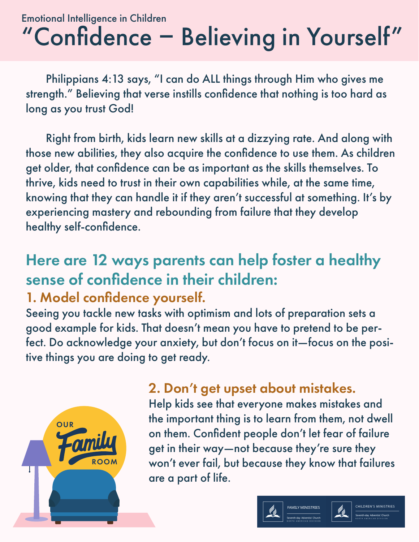# "Confidence - Believing in Yourself" Emotional Intelligence in Children

 Philippians 4:13 says, "I can do ALL things through Him who gives me strength." Believing that verse instills confidence that nothing is too hard as long as you trust God!

 Right from birth, kids learn new skills at a dizzying rate. And along with those new abilities, they also acquire the confidence to use them. As children get older, that confidence can be as important as the skills themselves. To thrive, kids need to trust in their own capabilities while, at the same time, knowing that they can handle it if they aren't successful at something. It's by experiencing mastery and rebounding from failure that they develop healthy self-confidence.

# Here are 12 ways parents can help foster a healthy sense of confidence in their children:

#### 1. Model confidence yourself.

Seeing you tackle new tasks with optimism and lots of preparation sets a good example for kids. That doesn't mean you have to pretend to be perfect. Do acknowledge your anxiety, but don't focus on it—focus on the positive things you are doing to get ready.



#### 2. Don't get upset about mistakes.

Help kids see that everyone makes mistakes and the important thing is to learn from them, not dwell on them. Confident people don't let fear of failure get in their way—not because they're sure they won't ever fail, but because they know that failures are a part of life.





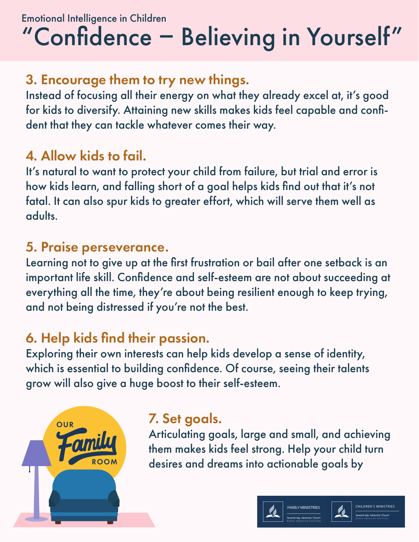# Emotional Intelligence in Children "Confidence - Believing in Yourself"

### 3. Encourage them to try new things.

Instead of focusing all their energy on what they already excel at, it's good for kids to diversify. Attaining new skills makes kids feel capable and confident that they can tackle whatever comes their way.

### 4. Allow kids to fail.

It's natural to want to protect your child from failure, but trial and error is how kids learn, and falling short of a goal helps kids find out that it's not fatal. It can also spur kids to greater effort, which will serve them well as adults.

### 5. Praise perseverance.

Learning not to give up at the first frustration or bail after one setback is an important life skill. Confidence and self-esteem are not about succeeding at everything all the time, they're about being resilient enough to keep trying, and not being distressed if you're not the best.

### 6. Help kids find their passion.

[Exploring their own interests](https://childmind.org/article/finding-the-balance-with-after-school-activities/) can help kids develop a sense of identity, which is essential to building confidence. Of course, seeing their talents grow will also give a huge boost to their self-esteem.



### 7. Set goals.

Articulating goals, large and small, and achieving them makes kids feel strong. Help your child turn desires and dreams into actionable goals by



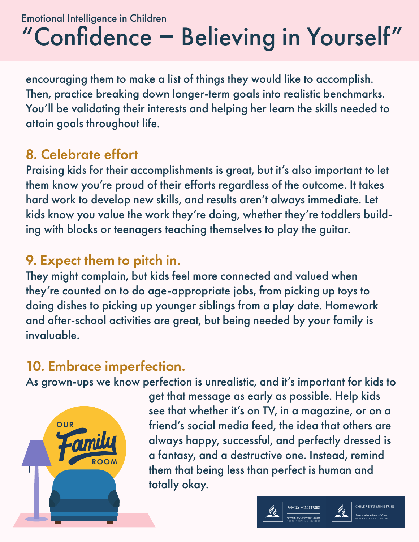# Emotional Intelligence in Children "Confidence - Believing in Yourself"

encouraging them to make a list of things they would like to accomplish. Then, practice breaking down longer-term goals into realistic benchmarks. You'll be validating their interests and helping her learn the skills needed to attain goals throughout life.

### 8. Celebrate effort

[Praising kids for their accomplishments is great,](https://childmind.org/ask-an-expert-qa/does-it-matter-how-i-praise-my-child/) but it's also important to let them know you're proud of their efforts regardless of the outcome. It takes hard work to develop new skills, and results aren't always immediate. Let kids know you value the work they're doing, whether they're toddlers building with blocks or teenagers teaching themselves to play the guitar.

### 9. Expect them to pitch in.

They might complain, but kids feel more connected and valued when they're counted on to do age-appropriate jobs, from picking up toys to doing dishes to picking up younger siblings from a play date. Homework and after-school activities are great, but being needed by your family is invaluable.

#### 10. Embrace imperfection.

As grown-ups we know perfection is unrealistic, and it's important for kids to



get that message as early as possible. Help kids see that whether it's on TV, in a magazine, or on a friend's social media feed, the idea that others are always happy, successful, and perfectly dressed is a fantasy, and a destructive one. Instead, remind them that being less than perfect is human and totally okay.





**CHILDREN'S MINISTRIES**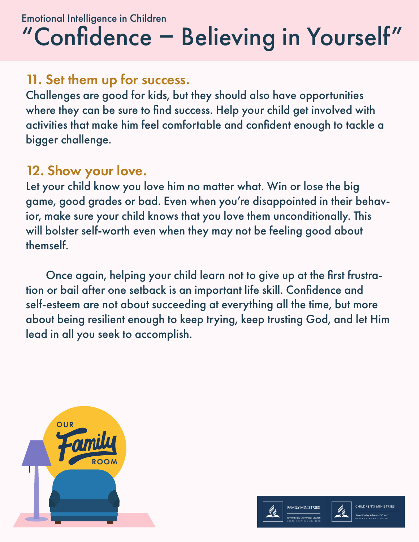# "Confidence - Believing in Yourself" Emotional Intelligence in Children

#### 11. Set them up for success.

Challenges are good for kids, but they should also have opportunities where they can be sure to find success. Help your child get involved with activities that make him feel comfortable and confident enough to tackle a bigger challenge.

### 12. Show your love.

Let your child know you love him no matter what. Win or lose the big game, good grades or bad. Even when you're disappointed in their behavior, make sure your child knows that you love them unconditionally. This will bolster self-worth even when they may not be feeling good about themself.

 Once again, helping your child learn not to give up at the first frustration or bail after one setback is an important life skill. Confidence and self-esteem are not about succeeding at everything all the time, but more about being resilient enough to keep trying, keep trusting God, and let Him lead in all you seek to accomplish.





 $\ell_2$